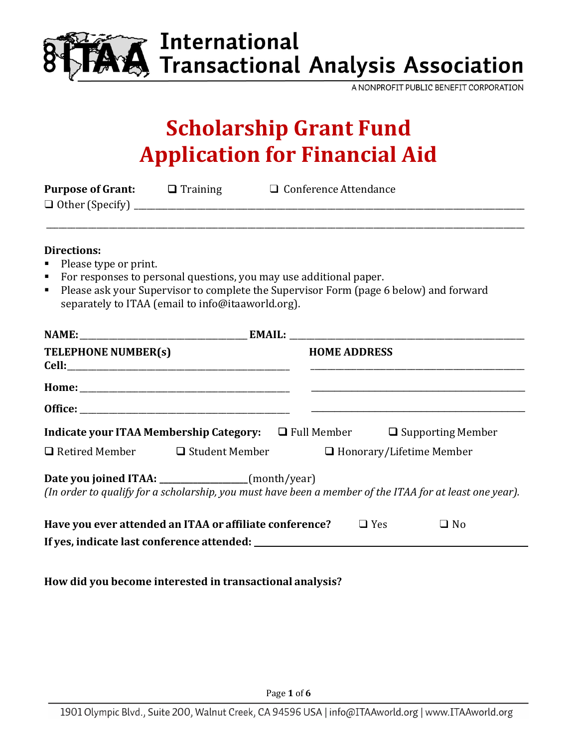

# **AA** International<br>AA Transactional Analysis Association

A NONPROFIT PUBLIC BENEFIT CORPORATION

## **Scholarship Grant Fund Application for Financial Aid**

|                                                                                      |                                                   | <b>Purpose of Grant:</b> □ Training □ Conference Attendance                                                                                                 |
|--------------------------------------------------------------------------------------|---------------------------------------------------|-------------------------------------------------------------------------------------------------------------------------------------------------------------|
| <b>Directions:</b><br>Please type or print.<br>$\blacksquare$<br>Ξ<br>$\blacksquare$ |                                                   | For responses to personal questions, you may use additional paper.<br>Please ask your Supervisor to complete the Supervisor Form (page 6 below) and forward |
|                                                                                      | separately to ITAA (email to info@itaaworld.org). |                                                                                                                                                             |
|                                                                                      |                                                   |                                                                                                                                                             |
| TELEPHONE NUMBER(s)                                                                  |                                                   | <b>HOME ADDRESS</b>                                                                                                                                         |
|                                                                                      |                                                   |                                                                                                                                                             |
|                                                                                      |                                                   |                                                                                                                                                             |
|                                                                                      |                                                   | <b>Indicate your ITAA Membership Category:</b> $\Box$ Full Member $\Box$ Supporting Member                                                                  |
| $\Box$ Retired Member $\Box$ Student Member                                          |                                                   | $\Box$ Honorary/Lifetime Member                                                                                                                             |
| Date you joined ITAA: ________________(month/year)                                   |                                                   | (In order to qualify for a scholarship, you must have been a member of the ITAA for at least one year).                                                     |
|                                                                                      |                                                   | Have you ever attended an ITAA or affiliate conference? $\Box$ Yes<br>$\Box$ No                                                                             |
|                                                                                      |                                                   |                                                                                                                                                             |
|                                                                                      |                                                   |                                                                                                                                                             |

**How did you become interested in transactional analysis?**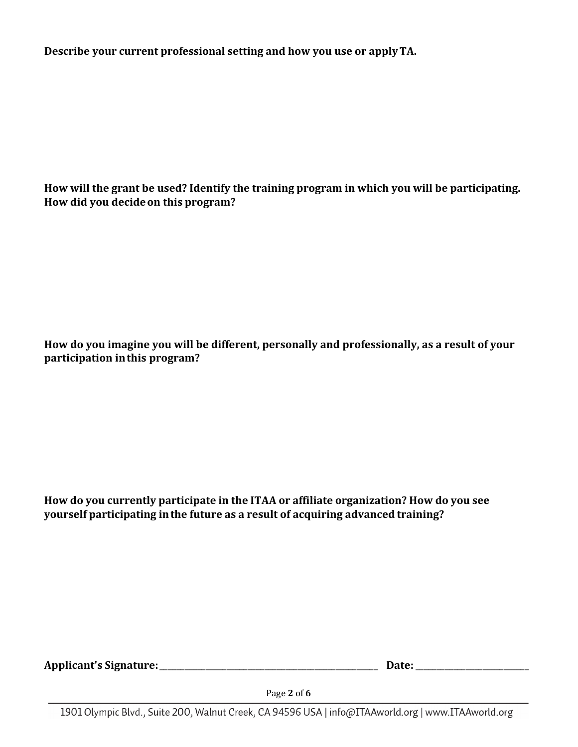**Describe your current professional setting and how you use or applyTA.**

**How will the grant be used? Identify the training program in which you will be participating. How did you decideon this program?**

How do you imagine you will be different, personally and professionally, as a result of your **participation inthis program?**

**How do you currently participate in the ITAA or affiliate organization? How do you see yourself participating inthe future as a result of acquiring advanced training?**

**Applicant's Signature:**\_\_\_\_\_\_\_\_\_\_\_\_\_\_\_\_\_\_\_\_\_\_\_\_\_\_\_\_\_\_\_\_\_\_\_\_\_\_\_\_\_\_\_\_\_\_\_\_\_\_\_\_  **Date:**\_\_\_\_\_\_\_\_\_\_\_\_\_\_\_\_\_\_\_\_\_\_\_\_\_\_\_

Page **2** of **6**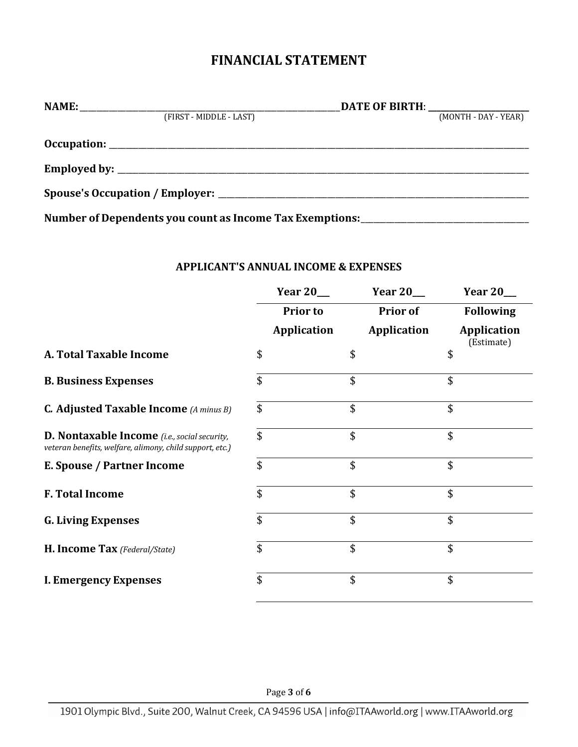### **FINANCIAL STATEMENT**

| (FIRST - MIDDLE - LAST)                                                          | (MONTH - DAY - YEAR) |
|----------------------------------------------------------------------------------|----------------------|
|                                                                                  |                      |
|                                                                                  |                      |
|                                                                                  |                      |
| Number of Dependents you count as Income Tax Exemptions: _______________________ |                      |

#### **APPLICANT'S ANNUAL INCOME & EXPENSES**

|                                                                                                                 | Year $20$ __       | <b>Year 20__</b>   | Year 20                          |
|-----------------------------------------------------------------------------------------------------------------|--------------------|--------------------|----------------------------------|
|                                                                                                                 | <b>Prior to</b>    | <b>Prior of</b>    | <b>Following</b>                 |
|                                                                                                                 | <b>Application</b> | <b>Application</b> | <b>Application</b><br>(Estimate) |
| A. Total Taxable Income                                                                                         | \$                 | \$                 | \$                               |
| <b>B. Business Expenses</b>                                                                                     | \$                 | \$                 | \$                               |
| <b>C. Adjusted Taxable Income</b> (A minus B)                                                                   | \$                 | \$                 | \$                               |
| <b>D. Nontaxable Income</b> (i.e., social security,<br>veteran benefits, welfare, alimony, child support, etc.) | \$                 | \$                 | \$                               |
| E. Spouse / Partner Income                                                                                      | \$                 | \$                 | \$                               |
| <b>F. Total Income</b>                                                                                          | \$                 | \$                 | \$                               |
| <b>G. Living Expenses</b>                                                                                       | \$                 | \$                 | \$                               |
| H. Income Tax (Federal/State)                                                                                   | \$                 | \$                 | \$                               |
| <b>I. Emergency Expenses</b>                                                                                    | \$                 | \$                 | \$                               |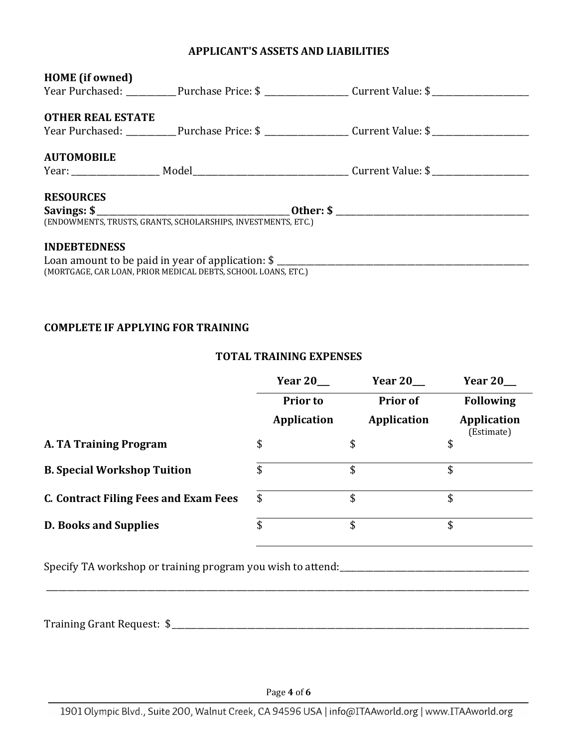#### **APPLICANT'S ASSETS AND LIABILITIES**

| <b>HOME</b> (if owned)   |                                                               |  |                                                                                                                                                                                                                                                                                    |  |  |
|--------------------------|---------------------------------------------------------------|--|------------------------------------------------------------------------------------------------------------------------------------------------------------------------------------------------------------------------------------------------------------------------------------|--|--|
|                          |                                                               |  | Year Purchased: ____________Purchase Price: \$ _______________________Current Value: \$ _______________________                                                                                                                                                                    |  |  |
|                          |                                                               |  |                                                                                                                                                                                                                                                                                    |  |  |
| <b>OTHER REAL ESTATE</b> |                                                               |  |                                                                                                                                                                                                                                                                                    |  |  |
|                          |                                                               |  | Year Purchased: ____________Purchase Price: \$ ______________________Current Value: \$ ________________________                                                                                                                                                                    |  |  |
|                          |                                                               |  |                                                                                                                                                                                                                                                                                    |  |  |
| <b>AUTOMOBILE</b>        |                                                               |  |                                                                                                                                                                                                                                                                                    |  |  |
|                          |                                                               |  |                                                                                                                                                                                                                                                                                    |  |  |
| <b>RESOURCES</b>         |                                                               |  |                                                                                                                                                                                                                                                                                    |  |  |
|                          |                                                               |  | Savings: $\frac{1}{2}$ Other: $\frac{1}{2}$ Other: $\frac{1}{2}$ Other: $\frac{1}{2}$ Other: $\frac{1}{2}$ Other: $\frac{1}{2}$ Other: $\frac{1}{2}$ Other: $\frac{1}{2}$ Other: $\frac{1}{2}$ Other: $\frac{1}{2}$ Other: $\frac{1}{2}$ Other: $\frac{1}{2}$ Other: $\frac{1}{2}$ |  |  |
|                          | (ENDOWMENTS, TRUSTS, GRANTS, SCHOLARSHIPS, INVESTMENTS, ETC.) |  |                                                                                                                                                                                                                                                                                    |  |  |
| <b>INDEBTEDNESS</b>      |                                                               |  |                                                                                                                                                                                                                                                                                    |  |  |
|                          |                                                               |  |                                                                                                                                                                                                                                                                                    |  |  |
|                          |                                                               |  |                                                                                                                                                                                                                                                                                    |  |  |
|                          | (MORTGAGE, CAR LOAN, PRIOR MEDICAL DEBTS, SCHOOL LOANS, ETC.) |  |                                                                                                                                                                                                                                                                                    |  |  |

#### **COMPLETE IF APPLYING FOR TRAINING**

#### **TOTAL TRAINING EXPENSES**

|                                              | Year 20            | Year $20$          | Year $20$                        |  |
|----------------------------------------------|--------------------|--------------------|----------------------------------|--|
|                                              | <b>Prior to</b>    | <b>Prior of</b>    | <b>Following</b>                 |  |
|                                              | <b>Application</b> | <b>Application</b> | <b>Application</b><br>(Estimate) |  |
| A. TA Training Program                       | \$                 | \$                 | \$                               |  |
| <b>B. Special Workshop Tuition</b>           | \$                 | \$                 | \$                               |  |
| <b>C. Contract Filing Fees and Exam Fees</b> | \$                 | \$                 | \$                               |  |
| <b>D. Books and Supplies</b>                 | \$                 | \$                 | \$                               |  |

Specify TA workshop or training program you wish to attend:\_\_\_\_\_\_\_\_\_\_\_\_\_\_\_\_\_\_\_\_\_\_\_\_\_\_\_\_\_\_\_\_\_\_\_\_\_\_\_\_\_\_\_\_\_

Training Grant Request: \$\_\_\_\_\_\_\_\_\_\_\_\_\_\_\_\_\_\_\_\_\_\_\_\_\_\_\_\_\_\_\_\_\_\_\_\_\_\_\_\_\_\_\_\_\_\_\_\_\_\_\_\_\_\_\_\_\_\_\_\_\_\_\_\_\_\_\_\_\_\_\_\_\_\_\_\_\_\_\_\_\_\_\_\_\_

\_\_\_\_\_\_\_\_\_\_\_\_\_\_\_\_\_\_\_\_\_\_\_\_\_\_\_\_\_\_\_\_\_\_\_\_\_\_\_\_\_\_\_\_\_\_\_\_\_\_\_\_\_\_\_\_\_\_\_\_\_\_\_\_\_\_\_\_\_\_\_\_\_\_\_\_\_\_\_\_\_\_\_\_\_\_\_\_\_\_\_\_\_\_\_\_\_\_\_\_\_\_\_\_\_\_\_\_\_\_\_\_\_\_\_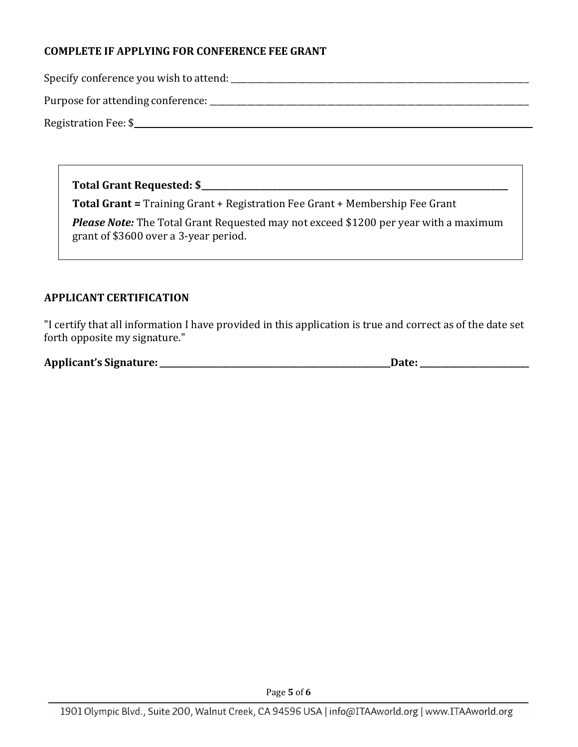#### **COMPLETE IF APPLYING FOR CONFERENCE FEE GRANT**

Specify conference you wish to attend:\_\_\_\_\_\_\_\_\_\_\_\_\_\_\_\_\_\_\_\_\_\_\_\_\_\_\_\_\_\_\_\_\_\_\_\_\_\_\_\_\_\_\_\_\_\_\_\_\_\_\_\_\_\_\_\_\_\_\_\_\_\_\_\_\_\_\_\_\_\_\_

Purpose for attending conference: \_\_\_\_\_\_\_\_\_\_\_\_\_\_\_\_\_\_\_\_\_\_\_\_\_\_\_\_\_\_\_\_\_\_\_\_\_\_\_\_\_\_\_\_\_\_\_\_\_\_\_\_\_\_\_\_\_\_\_\_\_\_\_\_\_\_\_\_\_\_\_\_\_\_\_\_

Registration Fee: \$\_\_\_\_\_\_\_\_\_\_\_\_\_\_\_\_\_\_\_\_\_\_\_\_\_\_\_\_\_\_\_\_\_\_\_\_\_\_\_\_\_\_\_\_\_\_\_\_\_\_\_\_\_\_\_\_\_\_\_\_\_\_\_\_\_\_\_\_\_\_\_\_\_\_\_\_\_\_\_\_\_\_\_\_\_\_\_\_\_\_\_\_\_\_

**Total Grant Requested: \$\_\_\_\_\_\_\_\_\_\_\_\_\_\_\_\_\_\_\_\_\_\_\_\_\_\_\_\_\_\_\_\_\_\_\_\_\_\_\_\_\_\_\_\_\_\_\_\_\_\_\_\_\_\_\_\_\_\_\_\_\_\_\_\_\_\_\_\_\_\_\_\_\_**

**Total Grant =** Training Grant + Registration Fee Grant + Membership Fee Grant

**Please Note:** The Total Grant Requested may not exceed \$1200 per year with a maximum grant of \$3600 over a 3-year period.

#### **APPLICANT CERTIFICATION**

"I certify that all information I have provided in this application is true and correct as of the date set forth opposite my signature."

| <b>Applicant's Signature:</b> | Date |
|-------------------------------|------|
|                               |      |